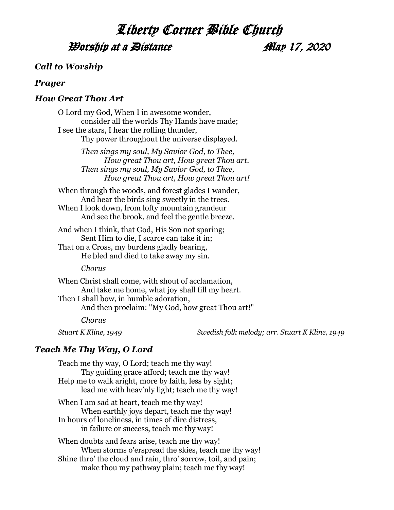# Liberty Corner Bible Church Worship at a Distance May 17, 2020

#### *Call to Worship*

#### *Prayer*

#### *How Great Thou Art*

O Lord my God, When I in awesome wonder, consider all the worlds Thy Hands have made; I see the stars, I hear the rolling thunder, Thy power throughout the universe displayed.

> *Then sings my soul, My Savior God, to Thee, How great Thou art, How great Thou art. Then sings my soul, My Savior God, to Thee, How great Thou art, How great Thou art!*

When through the woods, and forest glades I wander, And hear the birds sing sweetly in the trees. When I look down, from lofty mountain grandeur And see the brook, and feel the gentle breeze.

And when I think, that God, His Son not sparing; Sent Him to die, I scarce can take it in; That on a Cross, my burdens gladly bearing, He bled and died to take away my sin.

*Chorus*

When Christ shall come, with shout of acclamation, And take me home, what joy shall fill my heart. Then I shall bow, in humble adoration, And then proclaim: "My God, how great Thou art!"

*Chorus*

*Stuart K Kline, 1949 Swedish folk melody; arr. Stuart K Kline, 1949*

#### *Teach Me Thy Way, O Lord*

Teach me thy way, O Lord; teach me thy way! Thy guiding grace afford; teach me thy way! Help me to walk aright, more by faith, less by sight; lead me with heav'nly light; teach me thy way! When I am sad at heart, teach me thy way! When earthly joys depart, teach me thy way! In hours of loneliness, in times of dire distress, in failure or success, teach me thy way! When doubts and fears arise, teach me thy way! When storms o'erspread the skies, teach me thy way! Shine thro' the cloud and rain, thro' sorrow, toil, and pain; make thou my pathway plain; teach me thy way!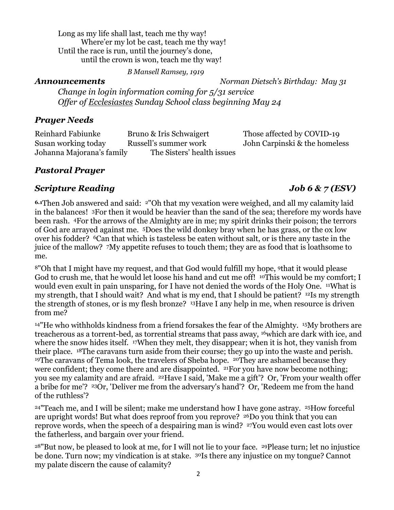Long as my life shall last, teach me thy way! Where'er my lot be cast, teach me thy way! Until the race is run, until the journey's done, until the crown is won, teach me thy way!

*B Mansell Ramsey, 1919*

*Announcements Norman Dietsch's Birthday: May 31*

*Change in login information coming for 5/31 service Offer of Ecclesiastes Sunday School class beginning May 24*

### *Prayer Needs*

Reinhard Fabiunke Bruno & Iris Schwaigert Those affected by COVID-19 Susan working today Russell's summer work John Carpinski & the homeless Johanna Majorana's family The Sisters' health issues

# *Pastoral Prayer*

# *Scripture Reading Job 6 & 7 (ESV)*

**6.1**Then Job answered and said: <sup>2</sup>"Oh that my vexation were weighed, and all my calamity laid in the balances! <sup>3</sup>For then it would be heavier than the sand of the sea; therefore my words have been rash. 4For the arrows of the Almighty are in me; my spirit drinks their poison; the terrors of God are arrayed against me. 5Does the wild donkey bray when he has grass, or the ox low over his fodder? 6Can that which is tasteless be eaten without salt, or is there any taste in the juice of the mallow? 7My appetite refuses to touch them; they are as food that is loathsome to me.

<sup>8</sup>"Oh that I might have my request, and that God would fulfill my hope, 9that it would please God to crush me, that he would let loose his hand and cut me off! <sup>10</sup>This would be my comfort; I would even exult in pain unsparing, for I have not denied the words of the Holy One. 11What is my strength, that I should wait? And what is my end, that I should be patient? 12Is my strength the strength of stones, or is my flesh bronze? <sup>13</sup>Have I any help in me, when resource is driven from me?

<sup>14"</sup>He who withholds kindness from a friend forsakes the fear of the Almighty. <sup>15</sup>My brothers are treacherous as a torrent-bed, as torrential streams that pass away, 16which are dark with ice, and where the snow hides itself. <sup>17</sup>When they melt, they disappear; when it is hot, they vanish from their place. 18The caravans turn aside from their course; they go up into the waste and perish. <sup>19</sup>The caravans of Tema look, the travelers of Sheba hope. <sup>20</sup>They are ashamed because they were confident; they come there and are disappointed. <sup>21</sup>For you have now become nothing; you see my calamity and are afraid. 22Have I said, 'Make me a gift'? Or, 'From your wealth offer a bribe for me'? 23Or, 'Deliver me from the adversary's hand'? Or, 'Redeem me from the hand of the ruthless'?

 $24$ "Teach me, and I will be silent; make me understand how I have gone astray.  $25$ How forceful are upright words! But what does reproof from you reprove? 26Do you think that you can reprove words, when the speech of a despairing man is wind? <sup>27</sup>You would even cast lots over the fatherless, and bargain over your friend.

<sup>28</sup>"But now, be pleased to look at me, for I will not lie to your face. 29Please turn; let no injustice be done. Turn now; my vindication is at stake. 30Is there any injustice on my tongue? Cannot my palate discern the cause of calamity?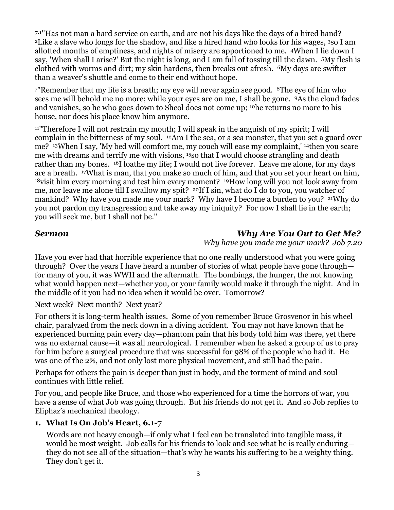**7.1**"Has not man a hard service on earth, and are not his days like the days of a hired hand? <sup>2</sup>Like a slave who longs for the shadow, and like a hired hand who looks for his wages, 3so I am allotted months of emptiness, and nights of misery are apportioned to me. <sup>4</sup>When I lie down I say, 'When shall I arise?' But the night is long, and I am full of tossing till the dawn. 5My flesh is clothed with worms and dirt; my skin hardens, then breaks out afresh. 6My days are swifter than a weaver's shuttle and come to their end without hope.

<sup>7</sup>"Remember that my life is a breath; my eye will never again see good. 8The eye of him who sees me will behold me no more; while your eyes are on me, I shall be gone. <sup>9</sup>As the cloud fades and vanishes, so he who goes down to Sheol does not come up; 10he returns no more to his house, nor does his place know him anymore.

<sup>11</sup>"Therefore I will not restrain my mouth; I will speak in the anguish of my spirit; I will complain in the bitterness of my soul. <sup>12</sup>Am I the sea, or a sea monster, that you set a guard over me? 13When I say, 'My bed will comfort me, my couch will ease my complaint,' 14then you scare me with dreams and terrify me with visions, 15so that I would choose strangling and death rather than my bones. 16I loathe my life; I would not live forever. Leave me alone, for my days are a breath. <sup>17</sup>What is man, that you make so much of him, and that you set your heart on him, <sup>18</sup>visit him every morning and test him every moment? <sup>19</sup>How long will you not look away from me, nor leave me alone till I swallow my spit? <sup>20</sup>If I sin, what do I do to you, you watcher of mankind? Why have you made me your mark? Why have I become a burden to you? <sup>21</sup>Why do you not pardon my transgression and take away my iniquity? For now I shall lie in the earth; you will seek me, but I shall not be."

# *Sermon Why Are You Out to Get Me?*

*Why have you made me your mark? Job 7.20*

Have you ever had that horrible experience that no one really understood what you were going through? Over the years I have heard a number of stories of what people have gone through for many of you, it was WWII and the aftermath. The bombings, the hunger, the not knowing what would happen next—whether you, or your family would make it through the night. And in the middle of it you had no idea when it would be over. Tomorrow?

Next week? Next month? Next year?

For others it is long-term health issues. Some of you remember Bruce Grosvenor in his wheel chair, paralyzed from the neck down in a diving accident. You may not have known that he experienced burning pain every day—phantom pain that his body told him was there, yet there was no external cause—it was all neurological. I remember when he asked a group of us to pray for him before a surgical procedure that was successful for 98% of the people who had it. He was one of the 2%, and not only lost more physical movement, and still had the pain.

Perhaps for others the pain is deeper than just in body, and the torment of mind and soul continues with little relief.

For you, and people like Bruce, and those who experienced for a time the horrors of war, you have a sense of what Job was going through. But his friends do not get it. And so Job replies to Eliphaz's mechanical theology.

### **1. What Is On Job's Heart, 6.1-7**

Words are not heavy enough—if only what I feel can be translated into tangible mass, it would be most weight. Job calls for his friends to look and see what he is really enduring they do not see all of the situation—that's why he wants his suffering to be a weighty thing. They don't get it.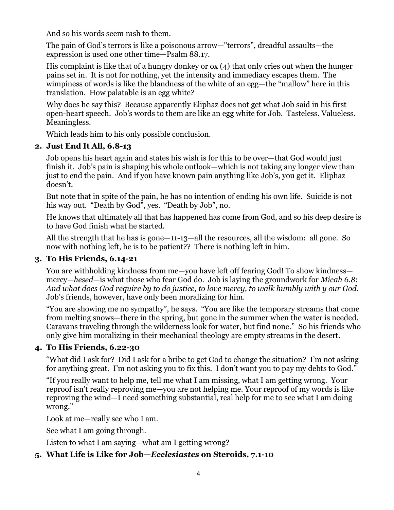And so his words seem rash to them.

The pain of God's terrors is like a poisonous arrow—"terrors", dreadful assaults—the expression is used one other time—Psalm 88.17.

His complaint is like that of a hungry donkey or ox (4) that only cries out when the hunger pains set in. It is not for nothing, yet the intensity and immediacy escapes them. The wimpiness of words is like the blandness of the white of an egg—the "mallow" here in this translation. How palatable is an egg white?

Why does he say this? Because apparently Eliphaz does not get what Job said in his first open-heart speech. Job's words to them are like an egg white for Job. Tasteless. Valueless. Meaningless.

Which leads him to his only possible conclusion.

# **2. Just End It All, 6.8-13**

Job opens his heart again and states his wish is for this to be over—that God would just finish it. Job's pain is shaping his whole outlook—which is not taking any longer view than just to end the pain. And if you have known pain anything like Job's, you get it. Eliphaz doesn't.

But note that in spite of the pain, he has no intention of ending his own life. Suicide is not his way out. "Death by God", yes. "Death by Job", no.

He knows that ultimately all that has happened has come from God, and so his deep desire is to have God finish what he started.

All the strength that he has is gone—11-13—all the resources, all the wisdom: all gone. So now with nothing left, he is to be patient?? There is nothing left in him.

# **3. To His Friends, 6.14-21**

You are withholding kindness from me—you have left off fearing God! To show kindness mercy—*hesed*—is what those who fear God do. Job is laying the groundwork for *Micah 6.8*: *And what does God require by to do justice, to love mercy, to walk humbly with y our God*. Job's friends, however, have only been moralizing for him.

"You are showing me no sympathy", he says. "You are like the temporary streams that come from melting snows—there in the spring, but gone in the summer when the water is needed. Caravans traveling through the wilderness look for water, but find none." So his friends who only give him moralizing in their mechanical theology are empty streams in the desert.

# **4. To His Friends, 6.22-30**

"What did I ask for? Did I ask for a bribe to get God to change the situation? I'm not asking for anything great. I'm not asking you to fix this. I don't want you to pay my debts to God."

"If you really want to help me, tell me what I am missing, what I am getting wrong. Your reproof isn't really reproving me—you are not helping me. Your reproof of my words is like reproving the wind—I need something substantial, real help for me to see what I am doing wrong."

Look at me—really see who I am.

See what I am going through.

Listen to what I am saying—what am I getting wrong?

# **5. What Life is Like for Job—***Ecclesiastes* **on Steroids, 7.1-10**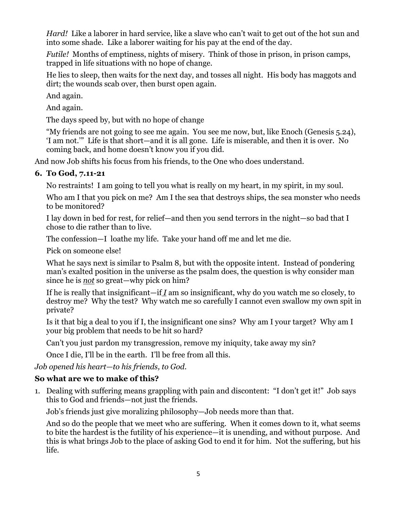*Hard!* Like a laborer in hard service, like a slave who can't wait to get out of the hot sun and into some shade. Like a laborer waiting for his pay at the end of the day.

*Futile!* Months of emptiness, nights of misery. Think of those in prison, in prison camps, trapped in life situations with no hope of change.

He lies to sleep, then waits for the next day, and tosses all night. His body has maggots and dirt; the wounds scab over, then burst open again.

And again.

And again.

The days speed by, but with no hope of change

"My friends are not going to see me again. You see me now, but, like Enoch (Genesis 5.24), 'I am not.'" Life is that short—and it is all gone. Life is miserable, and then it is over. No coming back, and home doesn't know you if you did.

And now Job shifts his focus from his friends, to the One who does understand.

#### **6. To God, 7.11-21**

No restraints! I am going to tell you what is really on my heart, in my spirit, in my soul.

Who am I that you pick on me? Am I the sea that destroys ships, the sea monster who needs to be monitored?

I lay down in bed for rest, for relief—and then you send terrors in the night—so bad that I chose to die rather than to live.

The confession—I loathe my life. Take your hand off me and let me die.

Pick on someone else!

What he says next is similar to Psalm 8, but with the opposite intent. Instead of pondering man's exalted position in the universe as the psalm does, the question is why consider man since he is *not* so great—why pick on him?

If he is really that insignificant—if *I* am so insignificant, why do you watch me so closely, to destroy me? Why the test? Why watch me so carefully I cannot even swallow my own spit in private?

Is it that big a deal to you if I, the insignificant one sins? Why am I your target? Why am I your big problem that needs to be hit so hard?

Can't you just pardon my transgression, remove my iniquity, take away my sin?

Once I die, I'll be in the earth. I'll be free from all this.

*Job opened his heart—to his friends, to God.*

### **So what are we to make of this?**

1. Dealing with suffering means grappling with pain and discontent: "I don't get it!" Job says this to God and friends—not just the friends.

Job's friends just give moralizing philosophy—Job needs more than that.

And so do the people that we meet who are suffering. When it comes down to it, what seems to bite the hardest is the futility of his experience—it is unending, and without purpose. And this is what brings Job to the place of asking God to end it for him. Not the suffering, but his life.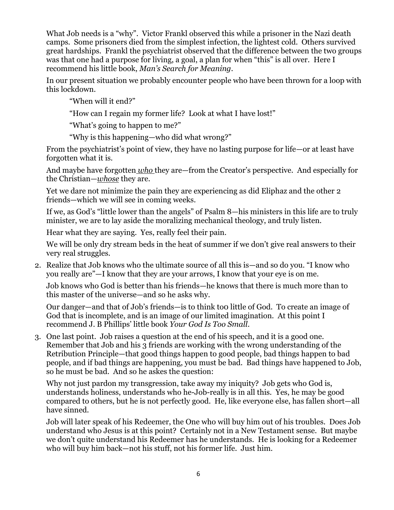What Job needs is a "why". Victor Frankl observed this while a prisoner in the Nazi death camps. Some prisoners died from the simplest infection, the lightest cold. Others survived great hardships. Frankl the psychiatrist observed that the difference between the two groups was that one had a purpose for living, a goal, a plan for when "this" is all over. Here I recommend his little book, *Man's Search for Meaning*.

In our present situation we probably encounter people who have been thrown for a loop with this lockdown.

"When will it end?"

"How can I regain my former life? Look at what I have lost!"

"What's going to happen to me?"

"Why is this happening—who did what wrong?"

From the psychiatrist's point of view, they have no lasting purpose for life—or at least have forgotten what it is.

And maybe have forgotten *who* they are—from the Creator's perspective. And especially for the Christian—*whose* they are.

Yet we dare not minimize the pain they are experiencing as did Eliphaz and the other 2 friends—which we will see in coming weeks.

If we, as God's "little lower than the angels" of Psalm 8—his ministers in this life are to truly minister, we are to lay aside the moralizing mechanical theology, and truly listen.

Hear what they are saying. Yes, really feel their pain.

We will be only dry stream beds in the heat of summer if we don't give real answers to their very real struggles.

2. Realize that Job knows who the ultimate source of all this is—and so do you. "I know who you really are"—I know that they are your arrows, I know that your eye is on me.

Job knows who God is better than his friends—he knows that there is much more than to this master of the universe—and so he asks why.

Our danger—and that of Job's friends—is to think to0 little of God. To create an image of God that is incomplete, and is an image of our limited imagination. At this point I recommend J. B Phillips' little book *Your God Is Too Small*.

3. One last point. Job raises a question at the end of his speech, and it is a good one. Remember that Job and his 3 friends are working with the wrong understanding of the Retribution Principle—that good things happen to good people, bad things happen to bad people, and if bad things are happening, you must be bad. Bad things have happened to Job, so he must be bad. And so he askes the question:

Why not just pardon my transgression, take away my iniquity? Job gets who God is, understands holiness, understands who he-Job-really is in all this. Yes, he may be good compared to others, but he is not perfectly good. He, like everyone else, has fallen short—all have sinned.

Job will later speak of his Redeemer, the One who will buy him out of his troubles. Does Job understand who Jesus is at this point? Certainly not in a New Testament sense. But maybe we don't quite understand his Redeemer has he understands. He is looking for a Redeemer who will buy him back—not his stuff, not his former life. Just him.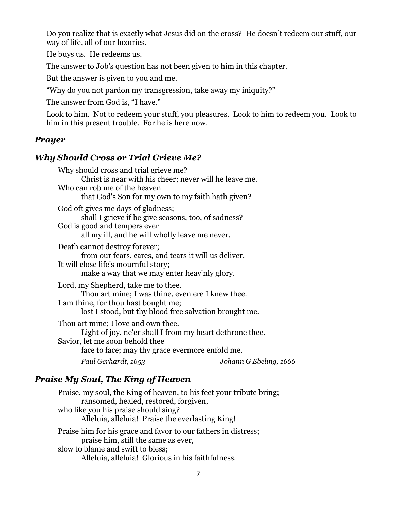Do you realize that is exactly what Jesus did on the cross? He doesn't redeem our stuff, our way of life, all of our luxuries.

He buys us. He redeems us.

The answer to Job's question has not been given to him in this chapter.

But the answer is given to you and me.

"Why do you not pardon my transgression, take away my iniquity?"

The answer from God is, "I have."

Look to him. Not to redeem your stuff, you pleasures. Look to him to redeem you. Look to him in this present trouble. For he is here now.

# *Prayer*

# *Why Should Cross or Trial Grieve Me?*

| Why should cross and trial grieve me?<br>Christ is near with his cheer; never will he leave me.<br>Who can rob me of the heaven<br>that God's Son for my own to my faith hath given?       |  |
|--------------------------------------------------------------------------------------------------------------------------------------------------------------------------------------------|--|
| God oft gives me days of gladness;<br>shall I grieve if he give seasons, too, of sadness?<br>God is good and tempers ever<br>all my ill, and he will wholly leave me never.                |  |
| Death cannot destroy forever;<br>from our fears, cares, and tears it will us deliver.<br>It will close life's mournful story;<br>make a way that we may enter heav'nly glory.              |  |
| Lord, my Shepherd, take me to thee.<br>Thou art mine; I was thine, even ere I knew thee.<br>I am thine, for thou hast bought me;<br>lost I stood, but thy blood free salvation brought me. |  |
| Thou art mine; I love and own thee.<br>Light of joy, ne'er shall I from my heart dethrone thee.<br>Savior, let me soon behold thee<br>face to face; may thy grace evermore enfold me.      |  |
| Paul Gerhardt, 1653<br>Johann G Ebeling, 1666                                                                                                                                              |  |

# *Praise My Soul, The King of Heaven*

Praise, my soul, the King of heaven, to his feet your tribute bring; ransomed, healed, restored, forgiven, who like you his praise should sing? Alleluia, alleluia! Praise the everlasting King! Praise him for his grace and favor to our fathers in distress; praise him, still the same as ever, slow to blame and swift to bless; Alleluia, alleluia! Glorious in his faithfulness.